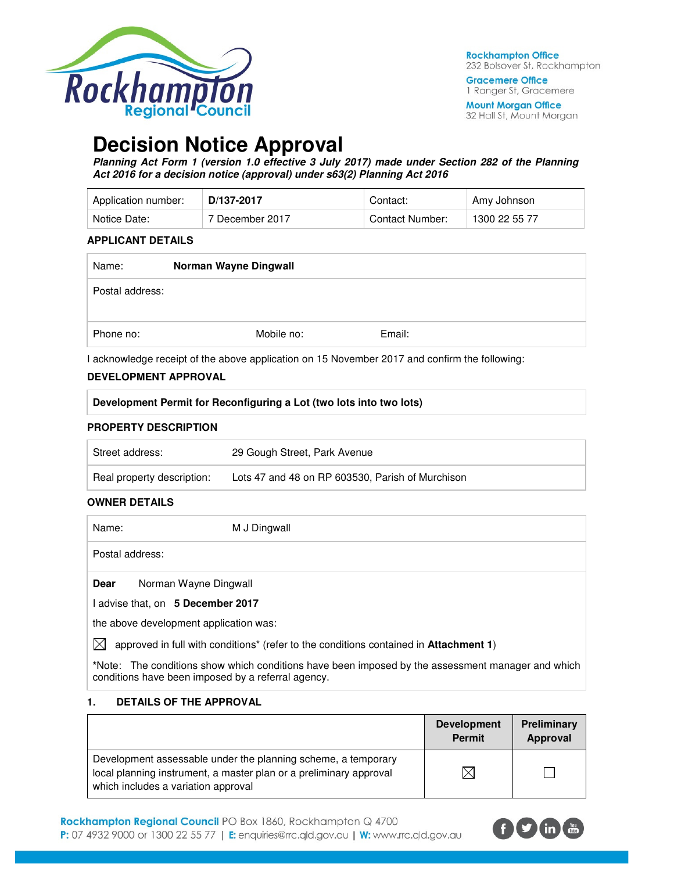

**Gracemere Office** 1 Ranger St, Gracemere

**Mount Morgan Office** 32 Hall St, Mount Morgan

# **Decision Notice Approval**

**Planning Act Form 1 (version 1.0 effective 3 July 2017) made under Section 282 of the Planning Act 2016 for a decision notice (approval) under s63(2) Planning Act 2016** 

| Application number: | D/137-2017      | Contact:        | Amy Johnson   |
|---------------------|-----------------|-----------------|---------------|
| Notice Date:        | 7 December 2017 | Contact Number: | 1300 22 55 77 |

#### **APPLICANT DETAILS**

| Name:           | Norman Wayne Dingwall |            |        |  |
|-----------------|-----------------------|------------|--------|--|
| Postal address: |                       |            |        |  |
| Phone no:       |                       | Mobile no: | Email: |  |

I acknowledge receipt of the above application on 15 November 2017 and confirm the following:

# **DEVELOPMENT APPROVAL**

| <b>DEVELOPMENT APPROVAL</b>                                         |
|---------------------------------------------------------------------|
| Development Permit for Reconfiguring a Lot (two lots into two lots) |
| ____________________                                                |

#### **PROPERTY DESCRIPTION**

| Street address:            | 29 Gough Street, Park Avenue                     |
|----------------------------|--------------------------------------------------|
| Real property description: | Lots 47 and 48 on RP 603530, Parish of Murchison |

# **OWNER DETAILS**

| Name: | M J Dingwall                                                                                                                                    |  |
|-------|-------------------------------------------------------------------------------------------------------------------------------------------------|--|
|       | Postal address:                                                                                                                                 |  |
| Dear  | Norman Wayne Dingwall                                                                                                                           |  |
|       | I advise that, on 5 December 2017                                                                                                               |  |
|       | the above development application was:                                                                                                          |  |
| ⌒     | $\mathbf{r}$ , and $\mathbf{r}$ , and $\mathbf{r}$ , and $\mathbf{r}$ , and $\mathbf{r}$ , and $\mathbf{r}$ , and $\mathbf{r}$<br>$\cdots$<br>. |  |

 $\boxtimes$  approved in full with conditions<sup>\*</sup> (refer to the conditions contained in Attachment 1)

**\***Note:The conditions show which conditions have been imposed by the assessment manager and which conditions have been imposed by a referral agency.

# **1. DETAILS OF THE APPROVAL**

|                                                                                                                                                                            | <b>Development</b><br><b>Permit</b> | Preliminary<br>Approval |
|----------------------------------------------------------------------------------------------------------------------------------------------------------------------------|-------------------------------------|-------------------------|
| Development assessable under the planning scheme, a temporary<br>local planning instrument, a master plan or a preliminary approval<br>which includes a variation approval |                                     |                         |

Rockhampton Regional Council PO Box 1860, Rockhampton Q 4700 P: 07 4932 9000 or 1300 22 55 77 | E: enquiries@rrc.qld.gov.au | W: www.rrc.qld.gov.au

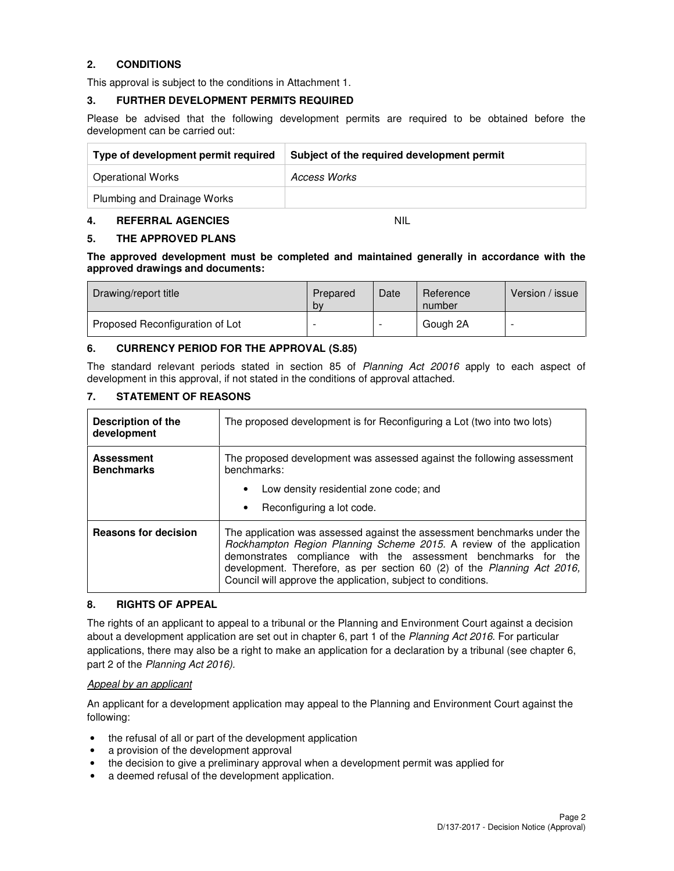# **2. CONDITIONS**

This approval is subject to the conditions in Attachment 1.

#### **3. FURTHER DEVELOPMENT PERMITS REQUIRED**

Please be advised that the following development permits are required to be obtained before the development can be carried out:

| Type of development permit required | Subject of the required development permit |
|-------------------------------------|--------------------------------------------|
| <b>Operational Works</b>            | Access Works                               |
| Plumbing and Drainage Works         |                                            |

#### **4. REFERRAL AGENCIES** NIL

# **5. THE APPROVED PLANS**

**The approved development must be completed and maintained generally in accordance with the approved drawings and documents:** 

| Drawing/report title            | Prepared<br>by           | Date | Reference<br>number | Version / issue |
|---------------------------------|--------------------------|------|---------------------|-----------------|
| Proposed Reconfiguration of Lot | $\overline{\phantom{0}}$ | -    | Gough 2A            |                 |

#### **6. CURRENCY PERIOD FOR THE APPROVAL (S.85)**

The standard relevant periods stated in section 85 of Planning Act 20016 apply to each aspect of development in this approval, if not stated in the conditions of approval attached.

# **7. STATEMENT OF REASONS**

| Description of the<br>development      | The proposed development is for Reconfiguring a Lot (two into two lots)                                                                                                                                                                                                                                                                                       |  |  |
|----------------------------------------|---------------------------------------------------------------------------------------------------------------------------------------------------------------------------------------------------------------------------------------------------------------------------------------------------------------------------------------------------------------|--|--|
| <b>Assessment</b><br><b>Benchmarks</b> | The proposed development was assessed against the following assessment<br>benchmarks:                                                                                                                                                                                                                                                                         |  |  |
|                                        | Low density residential zone code; and<br>٠                                                                                                                                                                                                                                                                                                                   |  |  |
|                                        | Reconfiguring a lot code.<br>$\bullet$                                                                                                                                                                                                                                                                                                                        |  |  |
| <b>Reasons for decision</b>            | The application was assessed against the assessment benchmarks under the<br>Rockhampton Region Planning Scheme 2015. A review of the application<br>demonstrates compliance with the assessment benchmarks for the<br>development. Therefore, as per section 60 (2) of the Planning Act 2016,<br>Council will approve the application, subject to conditions. |  |  |

# **8. RIGHTS OF APPEAL**

The rights of an applicant to appeal to a tribunal or the Planning and Environment Court against a decision about a development application are set out in chapter 6, part 1 of the Planning Act 2016. For particular applications, there may also be a right to make an application for a declaration by a tribunal (see chapter 6, part 2 of the Planning Act 2016).

#### Appeal by an applicant

An applicant for a development application may appeal to the Planning and Environment Court against the following:

- the refusal of all or part of the development application
- a provision of the development approval
- the decision to give a preliminary approval when a development permit was applied for
- a deemed refusal of the development application.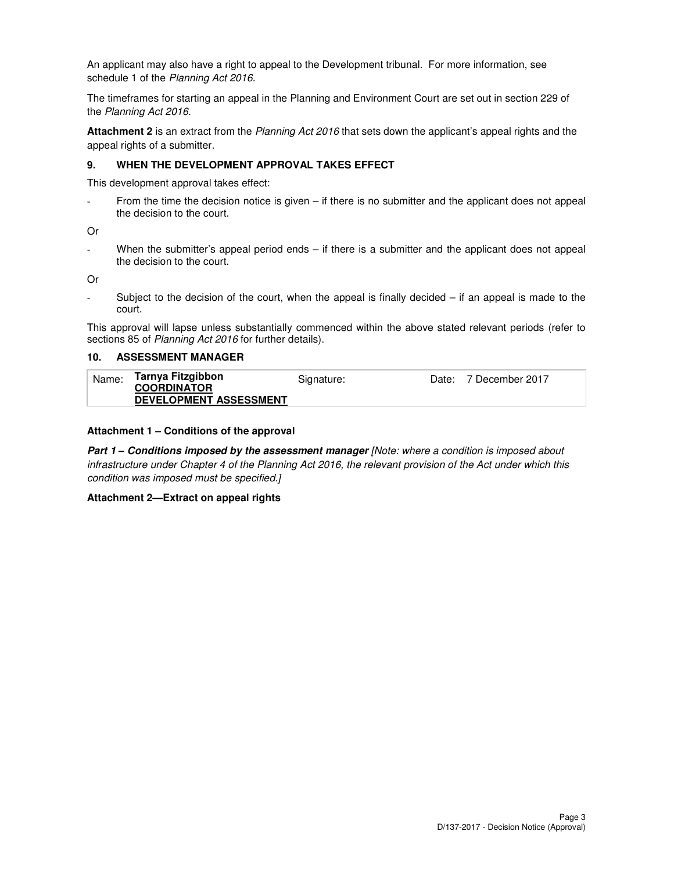An applicant may also have a right to appeal to the Development tribunal. For more information, see schedule 1 of the Planning Act 2016.

The timeframes for starting an appeal in the Planning and Environment Court are set out in section 229 of the Planning Act 2016.

**Attachment 2** is an extract from the Planning Act 2016 that sets down the applicant's appeal rights and the appeal rights of a submitter.

#### **9. WHEN THE DEVELOPMENT APPROVAL TAKES EFFECT**

This development approval takes effect:

From the time the decision notice is given  $-$  if there is no submitter and the applicant does not appeal the decision to the court.

Or

When the submitter's appeal period ends – if there is a submitter and the applicant does not appeal the decision to the court.

Or

Subject to the decision of the court, when the appeal is finally decided  $-$  if an appeal is made to the court.

This approval will lapse unless substantially commenced within the above stated relevant periods (refer to sections 85 of Planning Act 2016 for further details).

#### **10. ASSESSMENT MANAGER**

| Name: | Tarnya Fitzgibbon                                   | Signature: | Date: 7 December 2017 |
|-------|-----------------------------------------------------|------------|-----------------------|
|       | <b>COORDINATOR</b><br><b>DEVELOPMENT ASSESSMENT</b> |            |                       |

#### **Attachment 1 – Conditions of the approval**

**Part 1 – Conditions imposed by the assessment manager** [Note: where a condition is imposed about infrastructure under Chapter 4 of the Planning Act 2016, the relevant provision of the Act under which this condition was imposed must be specified.]

#### **Attachment 2—Extract on appeal rights**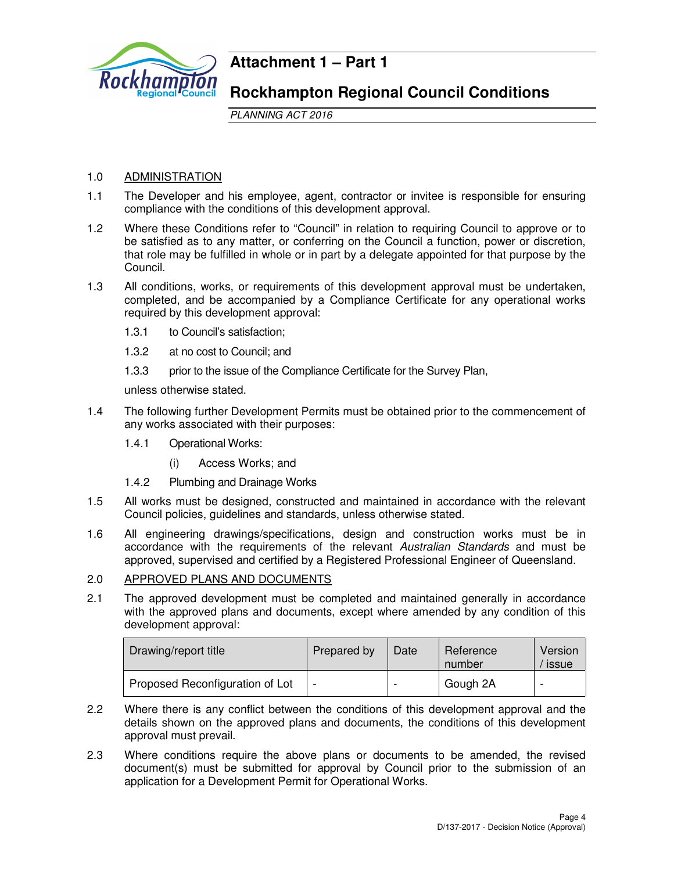

# **Attachment 1 – Part 1**

# **Rockhampton Regional Council Conditions**

PLANNING ACT 2016

# 1.0 ADMINISTRATION

- 1.1 The Developer and his employee, agent, contractor or invitee is responsible for ensuring compliance with the conditions of this development approval.
- 1.2 Where these Conditions refer to "Council" in relation to requiring Council to approve or to be satisfied as to any matter, or conferring on the Council a function, power or discretion, that role may be fulfilled in whole or in part by a delegate appointed for that purpose by the Council.
- 1.3 All conditions, works, or requirements of this development approval must be undertaken, completed, and be accompanied by a Compliance Certificate for any operational works required by this development approval:
	- 1.3.1 to Council's satisfaction;
	- 1.3.2 at no cost to Council; and
	- 1.3.3 prior to the issue of the Compliance Certificate for the Survey Plan,

unless otherwise stated.

- 1.4 The following further Development Permits must be obtained prior to the commencement of any works associated with their purposes:
	- 1.4.1 Operational Works:
		- (i) Access Works; and
	- 1.4.2 Plumbing and Drainage Works
- 1.5 All works must be designed, constructed and maintained in accordance with the relevant Council policies, guidelines and standards, unless otherwise stated.
- 1.6 All engineering drawings/specifications, design and construction works must be in accordance with the requirements of the relevant Australian Standards and must be approved, supervised and certified by a Registered Professional Engineer of Queensland.

# 2.0 APPROVED PLANS AND DOCUMENTS

2.1 The approved development must be completed and maintained generally in accordance with the approved plans and documents, except where amended by any condition of this development approval:

| Drawing/report title            | Prepared by | Date | Reference<br>number | Version<br>issue |
|---------------------------------|-------------|------|---------------------|------------------|
| Proposed Reconfiguration of Lot |             |      | Gough 2A            |                  |

- 2.2 Where there is any conflict between the conditions of this development approval and the details shown on the approved plans and documents, the conditions of this development approval must prevail.
- 2.3 Where conditions require the above plans or documents to be amended, the revised document(s) must be submitted for approval by Council prior to the submission of an application for a Development Permit for Operational Works.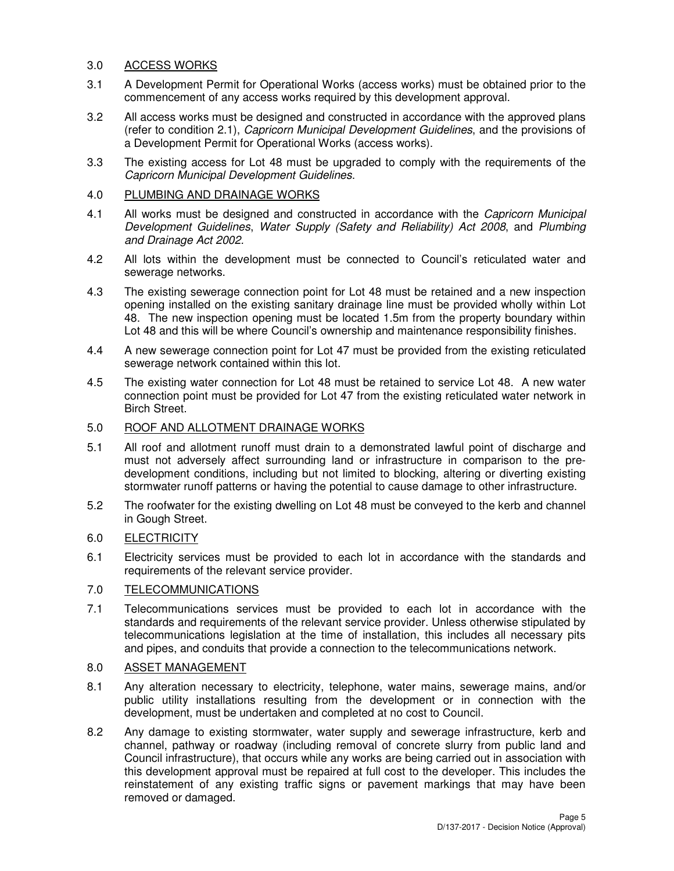# 3.0 ACCESS WORKS

- 3.1 A Development Permit for Operational Works (access works) must be obtained prior to the commencement of any access works required by this development approval.
- 3.2 All access works must be designed and constructed in accordance with the approved plans (refer to condition 2.1), Capricorn Municipal Development Guidelines, and the provisions of a Development Permit for Operational Works (access works).
- 3.3 The existing access for Lot 48 must be upgraded to comply with the requirements of the Capricorn Municipal Development Guidelines.

# 4.0 PLUMBING AND DRAINAGE WORKS

- 4.1 All works must be designed and constructed in accordance with the *Capricorn Municipal* Development Guidelines, Water Supply (Safety and Reliability) Act 2008, and Plumbing and Drainage Act 2002.
- 4.2 All lots within the development must be connected to Council's reticulated water and sewerage networks.
- 4.3 The existing sewerage connection point for Lot 48 must be retained and a new inspection opening installed on the existing sanitary drainage line must be provided wholly within Lot 48. The new inspection opening must be located 1.5m from the property boundary within Lot 48 and this will be where Council's ownership and maintenance responsibility finishes.
- 4.4 A new sewerage connection point for Lot 47 must be provided from the existing reticulated sewerage network contained within this lot.
- 4.5 The existing water connection for Lot 48 must be retained to service Lot 48. A new water connection point must be provided for Lot 47 from the existing reticulated water network in Birch Street.

# 5.0 ROOF AND ALLOTMENT DRAINAGE WORKS

- 5.1 All roof and allotment runoff must drain to a demonstrated lawful point of discharge and must not adversely affect surrounding land or infrastructure in comparison to the predevelopment conditions, including but not limited to blocking, altering or diverting existing stormwater runoff patterns or having the potential to cause damage to other infrastructure.
- 5.2 The roofwater for the existing dwelling on Lot 48 must be conveyed to the kerb and channel in Gough Street.

# 6.0 ELECTRICITY

6.1 Electricity services must be provided to each lot in accordance with the standards and requirements of the relevant service provider.

# 7.0 TELECOMMUNICATIONS

7.1 Telecommunications services must be provided to each lot in accordance with the standards and requirements of the relevant service provider. Unless otherwise stipulated by telecommunications legislation at the time of installation, this includes all necessary pits and pipes, and conduits that provide a connection to the telecommunications network.

# 8.0 ASSET MANAGEMENT

- 8.1 Any alteration necessary to electricity, telephone, water mains, sewerage mains, and/or public utility installations resulting from the development or in connection with the development, must be undertaken and completed at no cost to Council.
- 8.2 Any damage to existing stormwater, water supply and sewerage infrastructure, kerb and channel, pathway or roadway (including removal of concrete slurry from public land and Council infrastructure), that occurs while any works are being carried out in association with this development approval must be repaired at full cost to the developer. This includes the reinstatement of any existing traffic signs or pavement markings that may have been removed or damaged.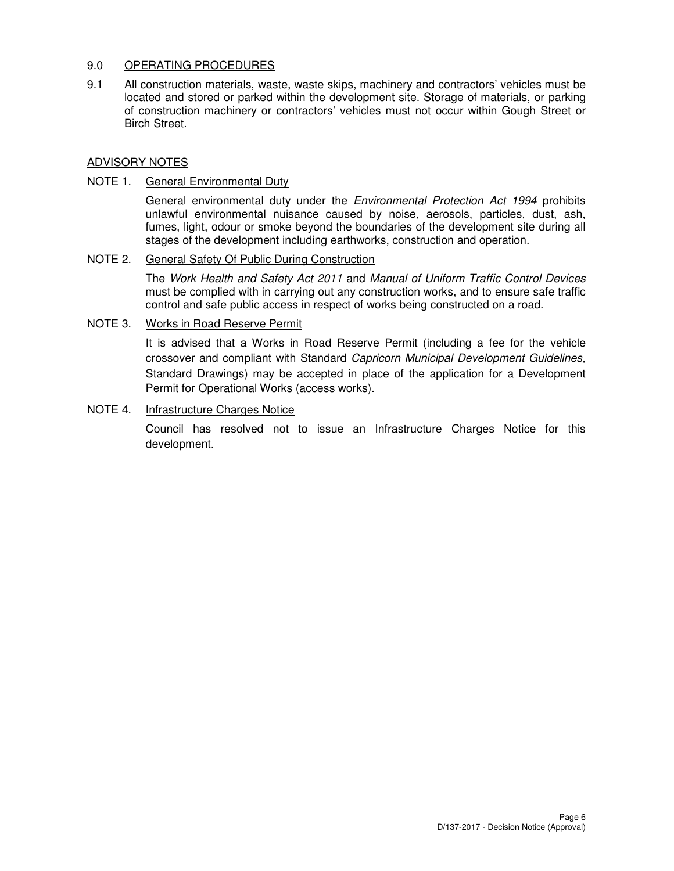# 9.0 OPERATING PROCEDURES

9.1 All construction materials, waste, waste skips, machinery and contractors' vehicles must be located and stored or parked within the development site. Storage of materials, or parking of construction machinery or contractors' vehicles must not occur within Gough Street or Birch Street.

# ADVISORY NOTES

# NOTE 1. General Environmental Duty

General environmental duty under the *Environmental Protection Act 1994* prohibits unlawful environmental nuisance caused by noise, aerosols, particles, dust, ash, fumes, light, odour or smoke beyond the boundaries of the development site during all stages of the development including earthworks, construction and operation.

# NOTE 2. General Safety Of Public During Construction

The Work Health and Safety Act 2011 and Manual of Uniform Traffic Control Devices must be complied with in carrying out any construction works, and to ensure safe traffic control and safe public access in respect of works being constructed on a road.

# NOTE 3. Works in Road Reserve Permit

It is advised that a Works in Road Reserve Permit (including a fee for the vehicle crossover and compliant with Standard Capricorn Municipal Development Guidelines, Standard Drawings) may be accepted in place of the application for a Development Permit for Operational Works (access works).

# NOTE 4. Infrastructure Charges Notice

Council has resolved not to issue an Infrastructure Charges Notice for this development.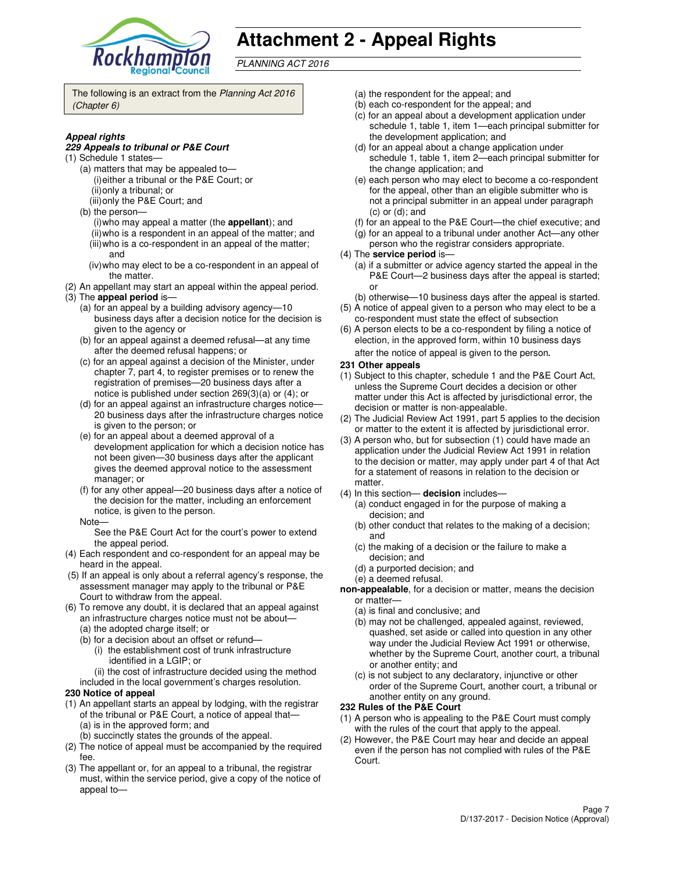

# **Attachment 2 - Appeal Rights**

PLANNING ACT 2016

The following is an extract from the Planning Act 2016 (Chapter 6)

#### **Appeal rights**

#### **229 Appeals to tribunal or P&E Court**

- (1) Schedule 1 states—
	- (a) matters that may be appealed to— (i) either a tribunal or the P&E Court; or (ii) only a tribunal; or
	- (iii) only the P&E Court; and
	- (b) the person—
		- (i) who may appeal a matter (the **appellant**); and (ii) who is a respondent in an appeal of the matter; and (iii) who is a co-respondent in an appeal of the matter;
		- and (iv) who may elect to be a co-respondent in an appeal of
	- the matter.
- (2) An appellant may start an appeal within the appeal period. (3) The **appeal period** is—
	- (a) for an appeal by a building advisory agency—10 business days after a decision notice for the decision is given to the agency or
	- (b) for an appeal against a deemed refusal—at any time after the deemed refusal happens; or
	- (c) for an appeal against a decision of the Minister, under chapter 7, part 4, to register premises or to renew the registration of premises—20 business days after a notice is published under section 269(3)(a) or (4); or
	- (d) for an appeal against an infrastructure charges notice— 20 business days after the infrastructure charges notice is given to the person; or
	- (e) for an appeal about a deemed approval of a development application for which a decision notice has not been given—30 business days after the applicant gives the deemed approval notice to the assessment manager; or
	- (f) for any other appeal—20 business days after a notice of the decision for the matter, including an enforcement notice, is given to the person.
	- Note—

See the P&E Court Act for the court's power to extend the appeal period.

- (4) Each respondent and co-respondent for an appeal may be heard in the appeal.
- (5) If an appeal is only about a referral agency's response, the assessment manager may apply to the tribunal or P&E Court to withdraw from the appeal.
- (6) To remove any doubt, it is declared that an appeal against an infrastructure charges notice must not be about—
	- (a) the adopted charge itself; or
	- (b) for a decision about an offset or refund—
		- (i) the establishment cost of trunk infrastructure identified in a LGIP; or
		- (ii) the cost of infrastructure decided using the method
	- included in the local government's charges resolution.
- **230 Notice of appeal**
- (1) An appellant starts an appeal by lodging, with the registrar of the tribunal or P&E Court, a notice of appeal that— (a) is in the approved form; and
	- (b) succinctly states the grounds of the appeal.
- (2) The notice of appeal must be accompanied by the required fee.
- (3) The appellant or, for an appeal to a tribunal, the registrar must, within the service period, give a copy of the notice of appeal to—
- (a) the respondent for the appeal; and
- (b) each co-respondent for the appeal; and
- (c) for an appeal about a development application under schedule 1, table 1, item 1—each principal submitter for the development application; and
- (d) for an appeal about a change application under schedule 1, table 1, item 2—each principal submitter for the change application; and
- (e) each person who may elect to become a co-respondent for the appeal, other than an eligible submitter who is not a principal submitter in an appeal under paragraph (c) or (d); and
- (f) for an appeal to the P&E Court—the chief executive; and
- (g) for an appeal to a tribunal under another Act—any other
- person who the registrar considers appropriate.
- (4) The **service period** is—
	- (a) if a submitter or advice agency started the appeal in the P&E Court—2 business days after the appeal is started; or
- (b) otherwise—10 business days after the appeal is started. (5) A notice of appeal given to a person who may elect to be a
- co-respondent must state the effect of subsection (6) A person elects to be a co-respondent by filing a notice of
- election, in the approved form, within 10 business days after the notice of appeal is given to the person*.*
- **231 Other appeals**
- (1) Subject to this chapter, schedule 1 and the P&E Court Act, unless the Supreme Court decides a decision or other matter under this Act is affected by jurisdictional error, the decision or matter is non-appealable.
- (2) The Judicial Review Act 1991, part 5 applies to the decision or matter to the extent it is affected by jurisdictional error.
- (3) A person who, but for subsection (1) could have made an application under the Judicial Review Act 1991 in relation to the decision or matter, may apply under part 4 of that Act for a statement of reasons in relation to the decision or matter.
- (4) In this section— **decision** includes—
	- (a) conduct engaged in for the purpose of making a decision; and
	- (b) other conduct that relates to the making of a decision; and
	- (c) the making of a decision or the failure to make a decision; and
	- (d) a purported decision; and
	- (e) a deemed refusal.
- **non-appealable**, for a decision or matter, means the decision or matter—
	- (a) is final and conclusive; and
	- (b) may not be challenged, appealed against, reviewed, quashed, set aside or called into question in any other way under the Judicial Review Act 1991 or otherwise, whether by the Supreme Court, another court, a tribunal or another entity; and
	- (c) is not subject to any declaratory, injunctive or other order of the Supreme Court, another court, a tribunal or another entity on any ground.

#### **232 Rules of the P&E Court**

- (1) A person who is appealing to the P&E Court must comply with the rules of the court that apply to the appeal.
- (2) However, the P&E Court may hear and decide an appeal even if the person has not complied with rules of the P&E Court.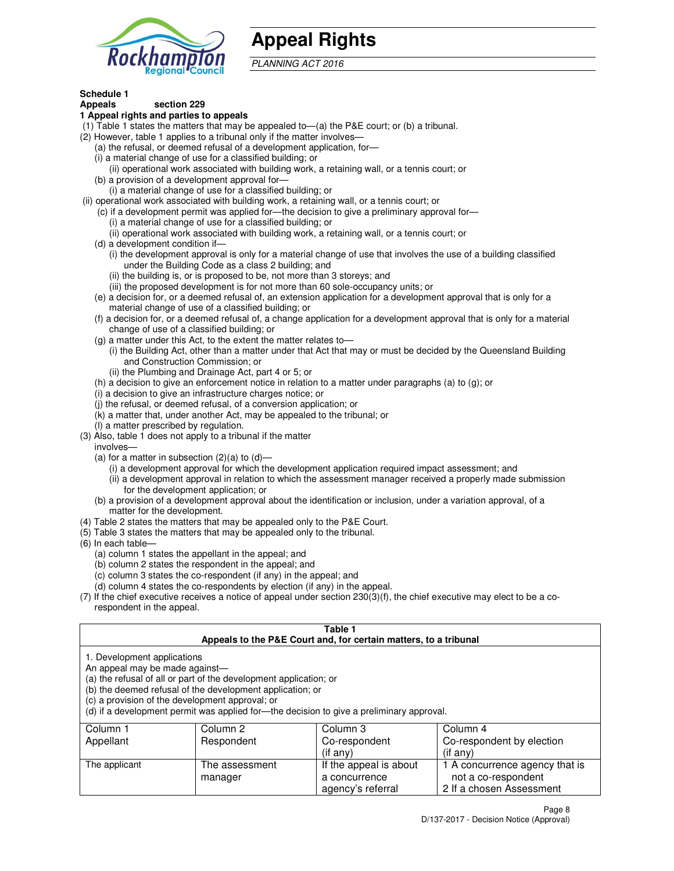

# **Appeal Rights**

PLANNING ACT 2016

#### **Schedule 1 Appeals section 229**

# **1 Appeal rights and parties to appeals**

- (1) Table 1 states the matters that may be appealed to—(a) the P&E court; or (b) a tribunal.
- (2) However, table 1 applies to a tribunal only if the matter involves—
	- (a) the refusal, or deemed refusal of a development application, for—
	- (i) a material change of use for a classified building; or
	- (ii) operational work associated with building work, a retaining wall, or a tennis court; or (b) a provision of a development approval for—
	- (i) a material change of use for a classified building; or
- (ii) operational work associated with building work, a retaining wall, or a tennis court; or
	- (c) if a development permit was applied for—the decision to give a preliminary approval for—
		- (i) a material change of use for a classified building; or
		- (ii) operational work associated with building work, a retaining wall, or a tennis court; or
	- (d) a development condition if—
		- (i) the development approval is only for a material change of use that involves the use of a building classified under the Building Code as a class 2 building; and
		- (ii) the building is, or is proposed to be, not more than 3 storeys; and
		- (iii) the proposed development is for not more than 60 sole-occupancy units; or
	- (e) a decision for, or a deemed refusal of, an extension application for a development approval that is only for a material change of use of a classified building; or
	- (f) a decision for, or a deemed refusal of, a change application for a development approval that is only for a material change of use of a classified building; or
	- (g) a matter under this Act, to the extent the matter relates to—
		- (i) the Building Act, other than a matter under that Act that may or must be decided by the Queensland Building and Construction Commission; or
		- (ii) the Plumbing and Drainage Act, part 4 or 5; or
	- (h) a decision to give an enforcement notice in relation to a matter under paragraphs (a) to (g); or
	- (i) a decision to give an infrastructure charges notice; or
	- (j) the refusal, or deemed refusal, of a conversion application; or
	- (k) a matter that, under another Act, may be appealed to the tribunal; or
	- (l) a matter prescribed by regulation.
- (3) Also, table 1 does not apply to a tribunal if the matter
- involves—
	- (a) for a matter in subsection  $(2)(a)$  to  $(d)$ 
		- (i) a development approval for which the development application required impact assessment; and
		- (ii) a development approval in relation to which the assessment manager received a properly made submission for the development application; or
	- (b) a provision of a development approval about the identification or inclusion, under a variation approval, of a matter for the development.
- (4) Table 2 states the matters that may be appealed only to the P&E Court.
- (5) Table 3 states the matters that may be appealed only to the tribunal.
- (6) In each table—
	- (a) column 1 states the appellant in the appeal; and
	- (b) column 2 states the respondent in the appeal; and
	- (c) column 3 states the co-respondent (if any) in the appeal; and
	- (d) column 4 states the co-respondents by election (if any) in the appeal.
- (7) If the chief executive receives a notice of appeal under section 230(3)(f), the chief executive may elect to be a corespondent in the appeal.

# **Table 1**

|                                                               |                                                                                                                                                                                   | Appeals to the P&E Court and, for certain matters, to a tribunal                         |                                |
|---------------------------------------------------------------|-----------------------------------------------------------------------------------------------------------------------------------------------------------------------------------|------------------------------------------------------------------------------------------|--------------------------------|
| 1. Development applications<br>An appeal may be made against— | (a) the refusal of all or part of the development application; or<br>(b) the deemed refusal of the development application; or<br>(c) a provision of the development approval; or | (d) if a development permit was applied for—the decision to give a preliminary approval. |                                |
| Column 1                                                      | Column 2                                                                                                                                                                          | Column 3                                                                                 | Column 4                       |
| Appellant                                                     | Respondent                                                                                                                                                                        | Co-respondent                                                                            | Co-respondent by election      |
|                                                               |                                                                                                                                                                                   | (if any)                                                                                 | (if any)                       |
| The applicant                                                 | The assessment                                                                                                                                                                    | If the appeal is about                                                                   | 1 A concurrence agency that is |
|                                                               | manager                                                                                                                                                                           | a concurrence                                                                            | not a co-respondent            |

agency's referral

2 If a chosen Assessment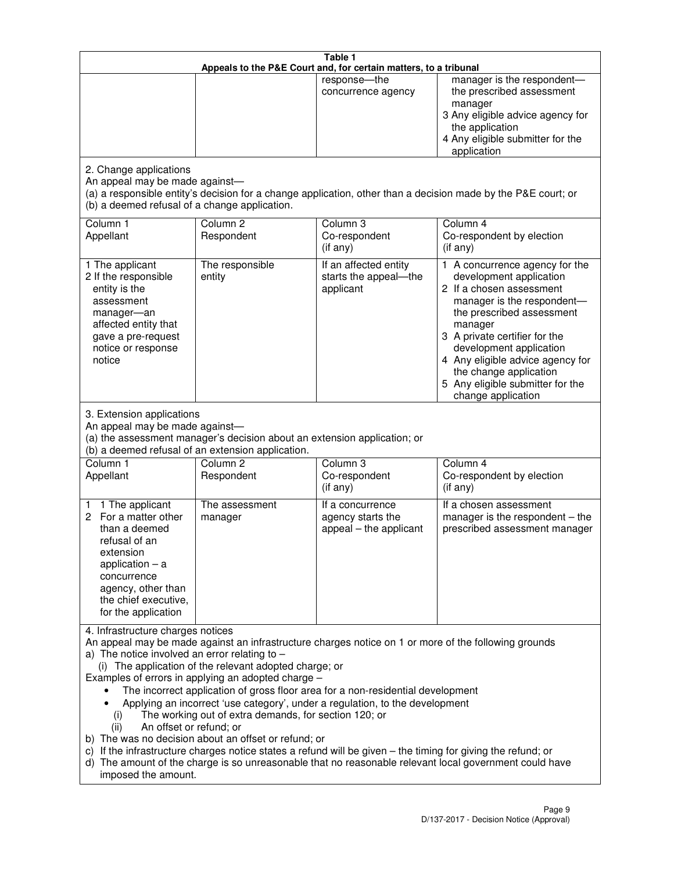|                                                                                                                                                                                                      |                                                                                                                                                                                                                               | Table 1<br>Appeals to the P&E Court and, for certain matters, to a tribunal                                                                                                                                                                                                     |                                                                                                                                                                                                                                                                                                                                                 |
|------------------------------------------------------------------------------------------------------------------------------------------------------------------------------------------------------|-------------------------------------------------------------------------------------------------------------------------------------------------------------------------------------------------------------------------------|---------------------------------------------------------------------------------------------------------------------------------------------------------------------------------------------------------------------------------------------------------------------------------|-------------------------------------------------------------------------------------------------------------------------------------------------------------------------------------------------------------------------------------------------------------------------------------------------------------------------------------------------|
|                                                                                                                                                                                                      |                                                                                                                                                                                                                               | response-the<br>concurrence agency                                                                                                                                                                                                                                              | manager is the respondent-<br>the prescribed assessment<br>manager<br>3 Any eligible advice agency for<br>the application<br>4 Any eligible submitter for the<br>application                                                                                                                                                                    |
| 2. Change applications<br>An appeal may be made against-<br>(b) a deemed refusal of a change application.                                                                                            |                                                                                                                                                                                                                               |                                                                                                                                                                                                                                                                                 | (a) a responsible entity's decision for a change application, other than a decision made by the P&E court; or                                                                                                                                                                                                                                   |
| Column 1<br>Appellant                                                                                                                                                                                | Column <sub>2</sub><br>Respondent                                                                                                                                                                                             | Column 3<br>Co-respondent<br>(if any)                                                                                                                                                                                                                                           | Column 4<br>Co-respondent by election<br>(if any)                                                                                                                                                                                                                                                                                               |
| 1 The applicant<br>2 If the responsible<br>entity is the<br>assessment<br>manager-an<br>affected entity that<br>gave a pre-request<br>notice or response<br>notice                                   | The responsible<br>entity                                                                                                                                                                                                     | If an affected entity<br>starts the appeal-the<br>applicant                                                                                                                                                                                                                     | 1 A concurrence agency for the<br>development application<br>2 If a chosen assessment<br>manager is the respondent-<br>the prescribed assessment<br>manager<br>3 A private certifier for the<br>development application<br>4 Any eligible advice agency for<br>the change application<br>5 Any eligible submitter for the<br>change application |
| 3. Extension applications<br>An appeal may be made against-<br>Column 1<br>Appellant                                                                                                                 | (a) the assessment manager's decision about an extension application; or<br>(b) a deemed refusal of an extension application.<br>Column <sub>2</sub><br>Respondent                                                            | Column 3<br>Co-respondent                                                                                                                                                                                                                                                       | Column 4<br>Co-respondent by election                                                                                                                                                                                                                                                                                                           |
| 1 The applicant<br>1<br>2 For a matter other<br>than a deemed<br>refusal of an<br>extension<br>application $-$ a<br>concurrence<br>agency, other than<br>the chief executive,<br>for the application | The assessment<br>manager                                                                                                                                                                                                     | (if any)<br>If a concurrence<br>agency starts the<br>appeal - the applicant                                                                                                                                                                                                     | (if any)<br>If a chosen assessment<br>manager is the respondent $-$ the<br>prescribed assessment manager                                                                                                                                                                                                                                        |
| 4. Infrastructure charges notices<br>a) The notice involved an error relating to $-$<br>(i)<br>An offset or refund; or<br>(ii)<br>imposed the amount.                                                | (i) The application of the relevant adopted charge; or<br>Examples of errors in applying an adopted charge -<br>The working out of extra demands, for section 120; or<br>b) The was no decision about an offset or refund; or | The incorrect application of gross floor area for a non-residential development<br>Applying an incorrect 'use category', under a regulation, to the development<br>c) If the infrastructure charges notice states a refund will be given - the timing for giving the refund; or | An appeal may be made against an infrastructure charges notice on 1 or more of the following grounds<br>d) The amount of the charge is so unreasonable that no reasonable relevant local government could have                                                                                                                                  |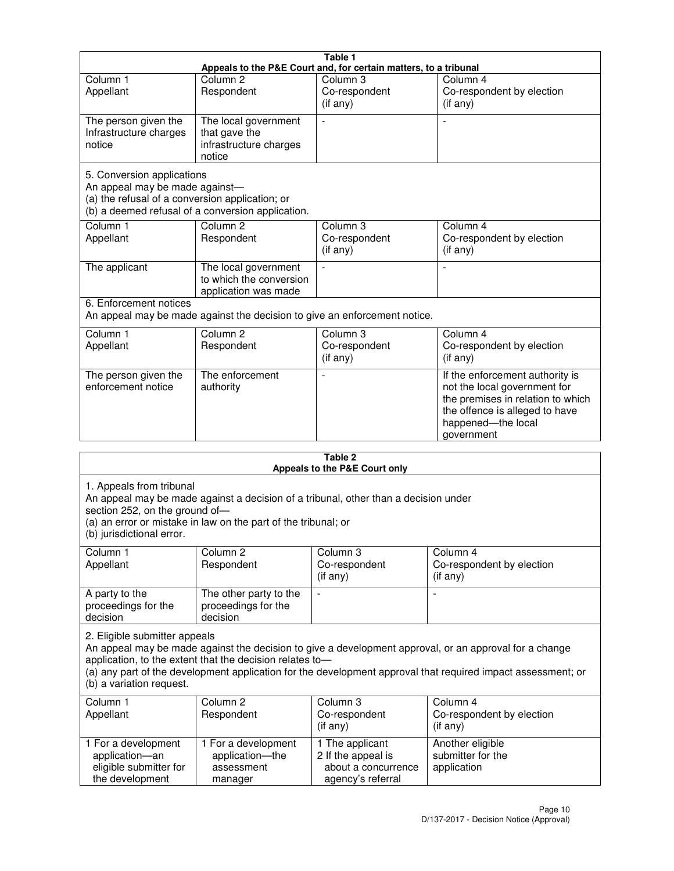|                                                                                                                 |                                                                           | Table 1                                                          |                                                                                                                                                                            |
|-----------------------------------------------------------------------------------------------------------------|---------------------------------------------------------------------------|------------------------------------------------------------------|----------------------------------------------------------------------------------------------------------------------------------------------------------------------------|
|                                                                                                                 |                                                                           | Appeals to the P&E Court and, for certain matters, to a tribunal |                                                                                                                                                                            |
| Column <sub>1</sub><br>Appellant                                                                                | Column <sub>2</sub><br>Respondent                                         | Column 3<br>Co-respondent<br>(if any)                            | Column 4<br>Co-respondent by election<br>(i f any)                                                                                                                         |
| The person given the<br>Infrastructure charges<br>notice                                                        | The local government<br>that gave the<br>infrastructure charges<br>notice | $\overline{a}$                                                   |                                                                                                                                                                            |
| 5. Conversion applications<br>An appeal may be made against-<br>(a) the refusal of a conversion application; or | (b) a deemed refusal of a conversion application.                         |                                                                  |                                                                                                                                                                            |
| Column <sub>1</sub><br>Appellant                                                                                | Column <sub>2</sub><br>Respondent                                         | Column <sub>3</sub><br>Co-respondent<br>$(i f \text{ any})$      | Column 4<br>Co-respondent by election<br>(if any)                                                                                                                          |
| The applicant                                                                                                   | The local government<br>to which the conversion<br>application was made   | $\blacksquare$                                                   |                                                                                                                                                                            |
| 6. Enforcement notices                                                                                          | An appeal may be made against the decision to give an enforcement notice. |                                                                  |                                                                                                                                                                            |
| Column <sub>1</sub><br>Appellant                                                                                | Column <sub>2</sub><br>Respondent                                         | Column 3<br>Co-respondent<br>(if any)                            | Column 4<br>Co-respondent by election<br>(if any)                                                                                                                          |
| The person given the<br>enforcement notice                                                                      | The enforcement<br>authority                                              |                                                                  | If the enforcement authority is<br>not the local government for<br>the premises in relation to which<br>the offence is alleged to have<br>happened-the local<br>government |
|                                                                                                                 |                                                                           |                                                                  |                                                                                                                                                                            |

| Table 2<br>Appeals to the P&E Court only                                                                                                                                                                                                                                                                                                        |                                                                                                                                                       |                                                                                   |                                                                |
|-------------------------------------------------------------------------------------------------------------------------------------------------------------------------------------------------------------------------------------------------------------------------------------------------------------------------------------------------|-------------------------------------------------------------------------------------------------------------------------------------------------------|-----------------------------------------------------------------------------------|----------------------------------------------------------------|
| 1. Appeals from tribunal<br>section 252, on the ground of-<br>(b) jurisdictional error.                                                                                                                                                                                                                                                         | An appeal may be made against a decision of a tribunal, other than a decision under<br>(a) an error or mistake in law on the part of the tribunal; or |                                                                                   |                                                                |
| Column 1<br>Appellant                                                                                                                                                                                                                                                                                                                           | Column <sub>2</sub><br>Respondent                                                                                                                     | Column 3<br>Co-respondent<br>(if any)                                             | Column 4<br>Co-respondent by election<br>(if any)              |
| A party to the<br>proceedings for the<br>decision                                                                                                                                                                                                                                                                                               | The other party to the<br>proceedings for the<br>decision                                                                                             | ÷,                                                                                |                                                                |
| 2. Eligible submitter appeals<br>An appeal may be made against the decision to give a development approval, or an approval for a change<br>application, to the extent that the decision relates to-<br>(a) any part of the development application for the development approval that required impact assessment; or<br>(b) a variation request. |                                                                                                                                                       |                                                                                   |                                                                |
| Column <sub>1</sub><br>Appellant                                                                                                                                                                                                                                                                                                                | Column <sub>2</sub><br>Respondent                                                                                                                     | Column 3<br>Co-respondent<br>(if any)                                             | Column <sub>4</sub><br>Co-respondent by election<br>$(if$ any) |
| 1 For a development<br>application-an<br>eligible submitter for<br>the development                                                                                                                                                                                                                                                              | 1 For a development<br>application-the<br>assessment<br>manager                                                                                       | 1 The applicant<br>2 If the appeal is<br>about a concurrence<br>agency's referral | Another eligible<br>submitter for the<br>application           |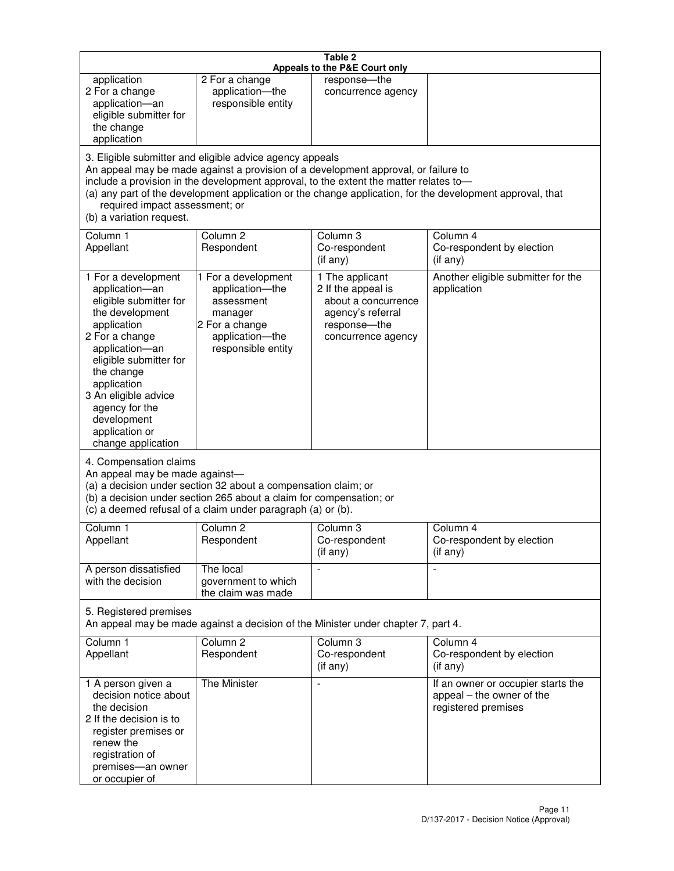|                                                                                                                                                                                                                                                                                                                                                                                                                    |                                                                                                                            | Table 2<br>Appeals to the P&E Court only                                                                                |                                                                                        |
|--------------------------------------------------------------------------------------------------------------------------------------------------------------------------------------------------------------------------------------------------------------------------------------------------------------------------------------------------------------------------------------------------------------------|----------------------------------------------------------------------------------------------------------------------------|-------------------------------------------------------------------------------------------------------------------------|----------------------------------------------------------------------------------------|
| application<br>2 For a change<br>application-an<br>eligible submitter for<br>the change<br>application                                                                                                                                                                                                                                                                                                             | 2 For a change<br>application-the<br>responsible entity                                                                    | response-the<br>concurrence agency                                                                                      |                                                                                        |
| 3. Eligible submitter and eligible advice agency appeals<br>An appeal may be made against a provision of a development approval, or failure to<br>include a provision in the development approval, to the extent the matter relates to-<br>(a) any part of the development application or the change application, for the development approval, that<br>required impact assessment; or<br>(b) a variation request. |                                                                                                                            |                                                                                                                         |                                                                                        |
| Column 1<br>Appellant                                                                                                                                                                                                                                                                                                                                                                                              | Column <sub>2</sub><br>Respondent                                                                                          | Column <sub>3</sub><br>Co-respondent<br>(if any)                                                                        | Column 4<br>Co-respondent by election<br>(i f any)                                     |
| 1 For a development<br>application-an<br>eligible submitter for<br>the development<br>application<br>2 For a change<br>application-an<br>eligible submitter for<br>the change<br>application<br>3 An eligible advice<br>agency for the<br>development<br>application or<br>change application                                                                                                                      | 1 For a development<br>application-the<br>assessment<br>manager<br>2 For a change<br>application-the<br>responsible entity | 1 The applicant<br>2 If the appeal is<br>about a concurrence<br>agency's referral<br>response-the<br>concurrence agency | Another eligible submitter for the<br>application                                      |
| 4. Compensation claims<br>An appeal may be made against-<br>(a) a decision under section 32 about a compensation claim; or<br>(b) a decision under section 265 about a claim for compensation; or<br>(c) a deemed refusal of a claim under paragraph (a) or (b).                                                                                                                                                   |                                                                                                                            |                                                                                                                         |                                                                                        |
| Column 1<br>Appellant                                                                                                                                                                                                                                                                                                                                                                                              | Column 2<br>Respondent                                                                                                     | Column 3<br>Co-respondent<br>(if any)                                                                                   | Column 4<br>Co-respondent by election<br>$($ if any $)$                                |
| A person dissatisfied<br>with the decision                                                                                                                                                                                                                                                                                                                                                                         | The local<br>government to which<br>the claim was made                                                                     |                                                                                                                         | $\blacksquare$                                                                         |
| 5. Registered premises<br>An appeal may be made against a decision of the Minister under chapter 7, part 4.                                                                                                                                                                                                                                                                                                        |                                                                                                                            |                                                                                                                         |                                                                                        |
| Column 1<br>Appellant                                                                                                                                                                                                                                                                                                                                                                                              | Column <sub>2</sub><br>Respondent                                                                                          | Column 3<br>Co-respondent<br>(if any)                                                                                   | Column 4<br>Co-respondent by election<br>(if any)                                      |
| 1 A person given a<br>decision notice about<br>the decision<br>2 If the decision is to<br>register premises or<br>renew the<br>registration of<br>premises-an owner<br>or occupier of                                                                                                                                                                                                                              | The Minister                                                                                                               | $\overline{a}$                                                                                                          | If an owner or occupier starts the<br>appeal - the owner of the<br>registered premises |